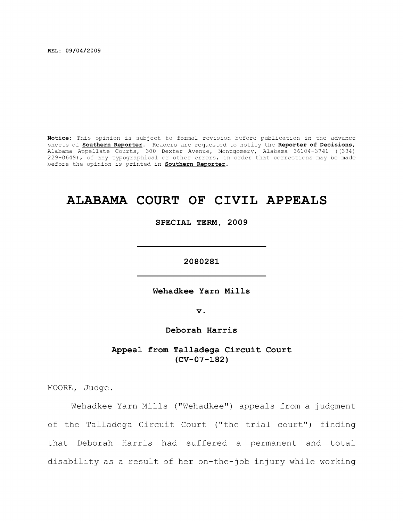**REL: 09/04/2009** 

**Notice:** This opinion is subject to formal revision before publication in the advance sheets of **Southern Reporter.** Readers are requested to notify the **Reporter of Decisions,**  Alabama Appellate Courts, 300 Dexter Avenue, Montgomery, Alabama 36104-3741 ((334) 229-0649), of any typographical or other errors, in order that corrections may be made before the opinion is printed in **Southern Reporter.** 

# **ALABAMA COURT OF CIVIL APPEALS**

**SPECIAL TERM, 2009** 

**2080281** 

Wehadkee Yarn Mills

**V .** 

**Deborah Harris** 

**Appeal from Talladega Circuit Court (CV-07-182)** 

MOORE, Judge.

Wehadkee Yarn Mills ("Wehadkee") appeals from a judgment of the Talladega Circuit Court ("the trial court") finding that Deborah Harris had suffered a permanent and total disability as a result of her on-the-job injury while working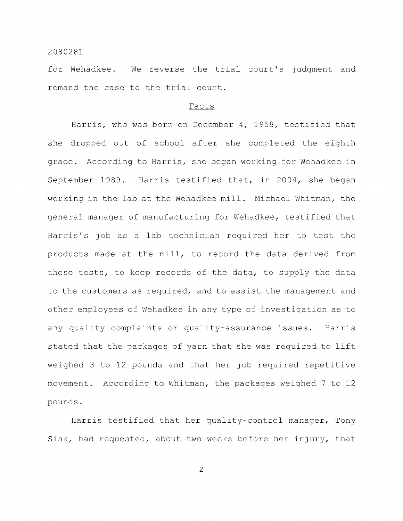for Wehadkee. We reverse the trial court's judgment and remand the case to the trial court.

#### Facts

Harris, who was born on December 4, 1958, testified that she dropped out of school after she completed the eighth grade. According to Harris, she began working for Wehadkee in September 1989. Harris testified that, in 2004, she began working in the lab at the Wehadkee mill. Michael Whitman, the general manager of manufacturing for Wehadkee, testified that Harris's job as a lab technician required her to test the products made at the mill, to record the data derived from those tests, to keep records of the data, to supply the data to the customers as required, and to assist the management and other employees of Wehadkee in any type of investigation as to any quality complaints or quality-assurance issues. Harris stated that the packages of yarn that she was required to lift weighed 3 to 12 pounds and that her job required repetitive movement. According to Whitman, the packages weighed 7 to 12 pounds.

Harris testified that her quality-control manager, Tony Sisk, had requested, about two weeks before her injury, that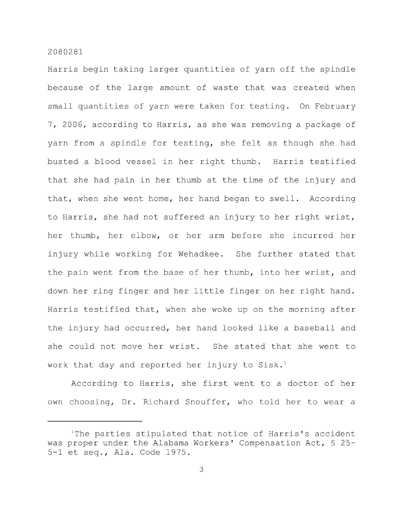Harris begin taking larger quantities of yarn off the spindle because of the large amount of waste that was created when small quantities of yarn were taken for testing. On February 7, 2006, according to Harris, as she was removing a package of yarn from a spindle for testing, she felt as though she had busted a blood vessel in her right thumb. Harris testified that she had pain in her thumb at the time of the injury and that, when she went home, her hand began to swell. According to Harris, she had not suffered an injury to her right wrist, her thumb, her elbow, or her arm before she incurred her injury while working for Wehadkee. She further stated that the pain went from the base of her thumb, into her wrist, and down her ring finger and her little finger on her right hand. Harris testified that, when she woke up on the morning after the injury had occurred, her hand looked like a baseball and she could not move her wrist. She stated that she went to work that day and reported her injury to Sisk.<sup>1</sup>

According to Harris, she first went to a doctor of her own choosing. Dr. Richard Snouffer, who told her to wear a

<sup>&</sup>lt;sup>1</sup>The parties stipulated that notice of Harris's accident was proper under the Alabama Workers' Compensation Act, § 25- 5-1 et seq., Ala. Code 1975.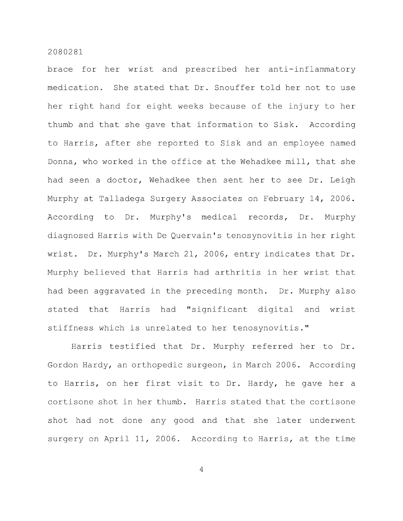brace for her wrist and prescribed her anti-inflammatory medication. She stated that Dr. Snouffer told her not to use her right hand for eight weeks because of the injury to her thumb and that she gave that information to Sisk. According to Harris, after she reported to Sisk and an employee named Donna, who worked in the office at the Wehadkee mill, that she had seen a doctor, Wehadkee then sent her to see Dr. Leigh Murphy at Talladega Surgery Associates on February 14, 2006. According to Dr. Murphy's medical records. Dr. Murphy diagnosed Harris with De Quervain's tenosynovitis in her right wrist. Dr. Murphy's March 21, 2006, entry indicates that Dr. Murphy believed that Harris had arthritis in her wrist that had been aggravated in the preceding month. Dr. Murphy also stated that Harris had "significant digital and wrist stiffness which is unrelated to her tenosynovitis."

Harris testified that Dr. Murphy referred her to Dr. Gordon Hardy, an orthopedic surgeon, in March 2006. According to Harris, on her first visit to Dr. Hardy, he gave her a cortisone shot in her thumb. Harris stated that the cortisone shot had not done any good and that she later underwent surgery on April 11, 2006. According to Harris, at the time

 $\overline{4}$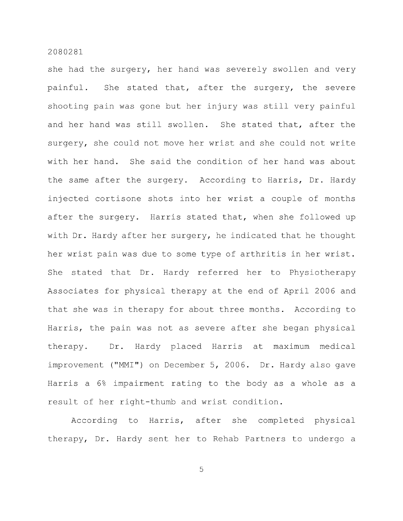she had the surgery, her hand was severely swollen and very painful. She stated that, after the surgery, the severe shooting pain was gone but her injury was still very painful and her hand was still swollen. She stated that, after the surgery, she could not move her wrist and she could not write with her hand. She said the condition of her hand was about the same after the surgery. According to Harris, Dr. Hardy injected cortisone shots into her wrist a couple of months after the surgery. Harris stated that, when she followed up with Dr. Hardy after her surgery, he indicated that he thought her wrist pain was due to some type of arthritis in her wrist. She stated that Dr. Hardy referred her to Physiotherapy Associates for physical therapy at the end of April 2006 and that she was in therapy for about three months. According to Harris, the pain was not as severe after she began physical therapy. Dr. Hardy placed Harris at maximum medical improvement ("MMI") on December 5, 2006. Dr. Hardy also gave Harris a 6% impairment rating to the body as a whole as a result of her right-thumb and wrist condition.

According to Harris, after she completed physical therapy. Dr. Hardy sent her to Rehab Partners to undergo a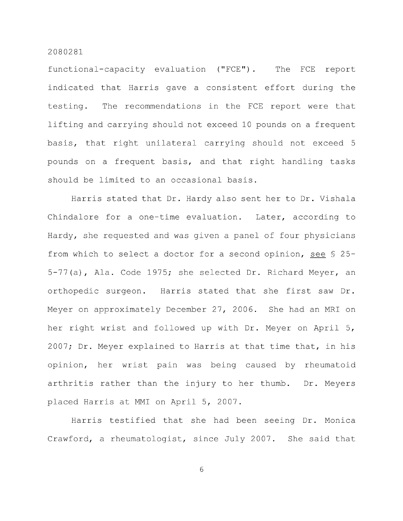functional-capacity evaluation ("FCE"). The FCE report indicated that Harris gave a consistent effort during the testing. The recommendations in the FCE report were that lifting and carrying should not exceed 10 pounds on a frequent basis, that right unilateral carrying should not exceed 5 pounds on a frequent basis, and that right handling tasks should be limited to an occasional basis.

Harris stated that Dr. Hardy also sent her to Dr. Vishala Chindalore for a one-time evaluation. Later, according to Hardy, she requested and was given a panel of four physicians from which to select a doctor for a second opinion, see § 25- 5-77(a), Ala. Code 1975; she selected Dr. Richard Meyer, an orthopedic surgeon. Harris stated that she first saw Dr. Meyer on approximately December 27, 2006. She had an MRI on her right wrist and followed up with Dr. Meyer on April 5, 2007; Dr. Meyer explained to Harris at that time that, in his opinion, her wrist pain was being caused by rheumatoid arthritis rather than the injury to her thumb. Dr. Meyers placed Harris at MMI on April 5, 2007.

Harris testified that she had been seeing Dr. Monica Crawford, a rheumatologist, since July 2007. She said that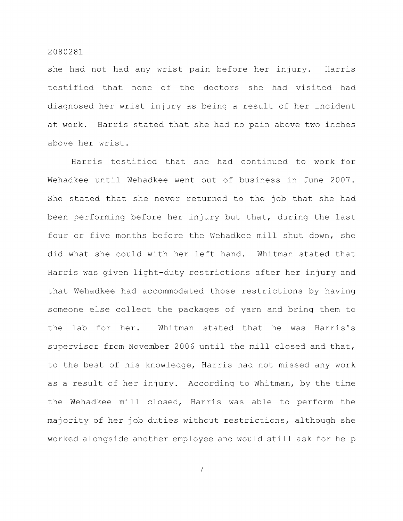she had not had any wrist pain before her injury. Harris testified that none of the doctors she had visited had diagnosed her wrist injury as being a result of her incident at work. Harris stated that she had no pain above two inches above her wrist.

Harris testified that she had continued to work for Wehadkee until Wehadkee went out of business in June 2007. She stated that she never returned to the job that she had been performing before her injury but that, during the last four or five months before the Wehadkee mill shut down, she did what she could with her left hand. Whitman stated that Harris was given light-duty restrictions after her injury and that Wehadkee had accommodated those restrictions by having someone else collect the packages of yarn and bring them to the lab for her. Whitman stated that he was Harris's supervisor from November 2006 until the mill closed and that, to the best of his knowledge, Harris had not missed any work as a result of her injury. According to Whitman, by the time the Wehadkee mill closed, Harris was able to perform the majority of her job duties without restrictions, although she worked alongside another employee and would still ask for help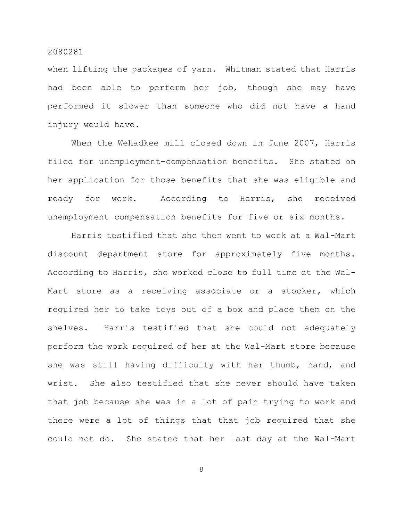when lifting the packages of yarn. Whitman stated that Harris had been able to perform her job, though she may have performed it slower than someone who did not have a hand injury would have.

When the Wehadkee mill closed down in June 2007, Harris filed for unemployment-compensation benefits. She stated on her application for those benefits that she was eligible and ready for work. According to Harris, she received unemployment-compensation benefits for five or six months.

Harris testified that she then went to work at a Wal-Mart discount department store for approximately five months. According to Harris, she worked close to full time at the Wal-Mart store as a receiving associate or a stocker, which required her to take toys out of a box and place them on the shelves. Harris testified that she could not adequately perform the work required of her at the Wal-Mart store because she was still having difficulty with her thumb, hand, and wrist. She also testified that she never should have taken that job because she was in a lot of pain trying to work and there were a lot of things that that job required that she could not do. She stated that her last day at the Wal-Mart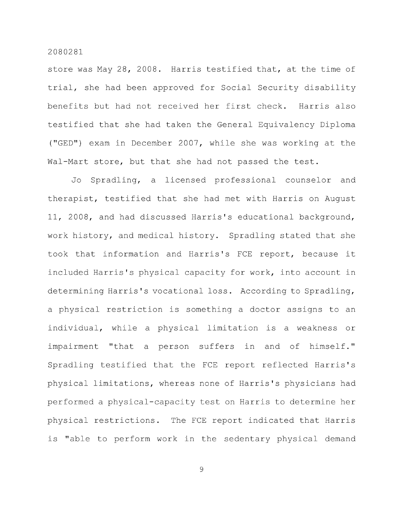store was May 28, 2008. Harris testified that, at the time of trial, she had been approved for Social Security disability benefits but had not received her first check. Harris also testified that she had taken the General Equivalency Diploma ("GED") exam in December 2007, while she was working at the Wal-Mart store, but that she had not passed the test.

Jo Spradling, a licensed professional counselor and therapist, testified that she had met with Harris on August 11, 2008, and had discussed Harris's educational background, work history, and medical history. Spradling stated that she took that information and Harris's FCE report, because it included Harris's physical capacity for work, into account in determining Harris's vocational loss. According to Spradling, a physical restriction is something a doctor assigns to an individual, while a physical limitation is a weakness or impairment "that a person suffers in and of himself." Spradling testified that the FCE report reflected Harris's physical limitations, whereas none of Harris's physicians had performed a physical-capacity test on Harris to determine her physical restrictions. The FCE report indicated that Harris is "able to perform work in the sedentary physical demand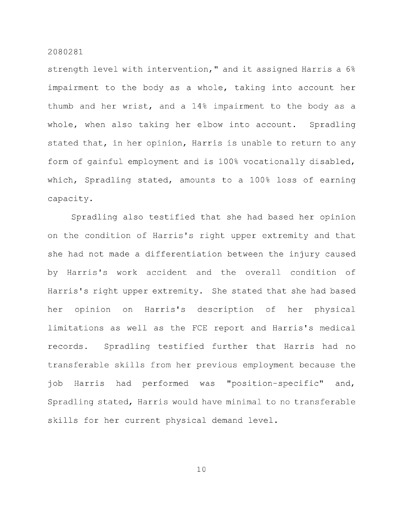strength level with intervention," and it assigned Harris a 6% impairment to the body as a whole, taking into account her thumb and her wrist, and a 14% impairment to the body as a whole, when also taking her elbow into account. Spradling stated that, in her opinion, Harris is unable to return to any form of gainful employment and is 100% vocationally disabled, which, Spradling stated, amounts to a 100% loss of earning capacity.

Spradling also testified that she had based her opinion on the condition of Harris's right upper extremity and that she had not made a differentiation between the injury caused by Harris's work accident and the overall condition of Harris's right upper extremity. She stated that she had based her opinion on Harris's description of her physical limitations as well as the FCE report and Harris's medical records. Spradling testified further that Harris had no transferable skills from her previous employment because the job Harris had performed was "position-specific" and, Spradling stated, Harris would have minimal to no transferable skills for her current physical demand level.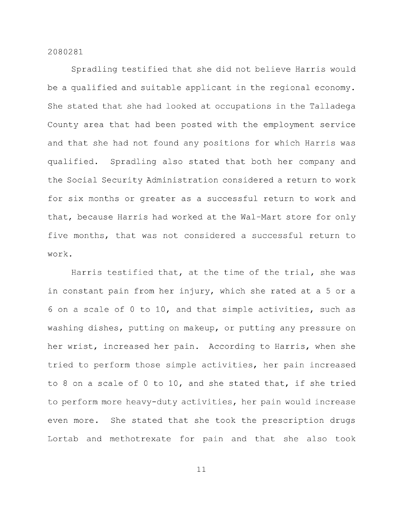Spradling testified that she did not believe Harris would be a qualified and suitable applicant in the regional economy. She stated that she had looked at occupations in the Talladega County area that had been posted with the employment service and that she had not found any positions for which Harris was qualified. Spradling also stated that both her company and the Social Security Administration considered a return to work for six months or greater as a successful return to work and that, because Harris had worked at the Wal-Mart store for only five months, that was not considered a successful return to work.

Harris testified that, at the time of the trial, she was in constant pain from her injury, which she rated at a 5 or a 6 on a scale of 0 to 10, and that simple activities, such as washing dishes, putting on makeup, or putting any pressure on her wrist, increased her pain. According to Harris, when she tried to perform those simple activities, her pain increased to 8 on a scale of 0 to 10, and she stated that, if she tried to perform more heavy-duty activities, her pain would increase even more. She stated that she took the prescription drugs Lortab and methotrexate for pain and that she also took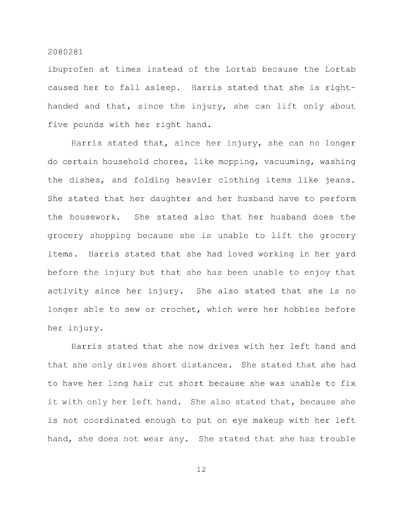ibuprofen at times instead of the Lortab because the Lortab caused her to fall asleep. Harris stated that she is righthanded and that, since the injury, she can lift only about five pounds with her right hand.

Harris stated that, since her injury, she can no longer do certain household chores, like mopping, vacuuming, washing the dishes, and folding heavier clothing items like jeans. She stated that her daughter and her husband have to perform the housework. She stated also that her husband does the grocery shopping because she is unable to lift the grocery items. Harris stated that she had loved working in her yard before the injury but that she has been unable to enjoy that activity since her injury. She also stated that she is no longer able to sew or crochet, which were her hobbies before her injury.

Harris stated that she now drives with her left hand and that she only drives short distances. She stated that she had to have her long hair cut short because she was unable to fix it with only her left hand. She also stated that, because she is not coordinated enough to put on eye makeup with her left hand, she does not wear any. She stated that she has trouble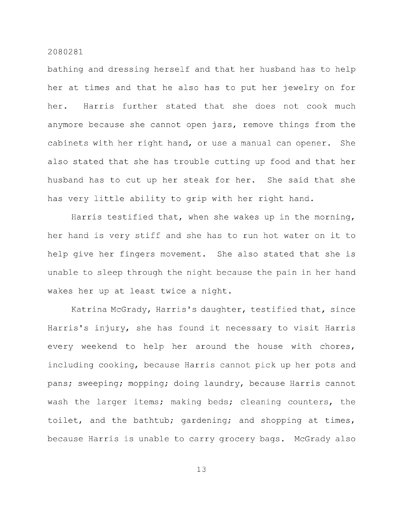bathing and dressing herself and that her husband has to help her at times and that he also has to put her jewelry on for her. Harris further stated that she does not cook much anymore because she cannot open jars, remove things from the cabinets with her right hand, or use a manual can opener. She also stated that she has trouble cutting up food and that her husband has to cut up her steak for her. She said that she has very little ability to grip with her right hand.

Harris testified that, when she wakes up in the morning, her hand is very stiff and she has to run hot water on it to help give her fingers movement. She also stated that she is unable to sleep through the night because the pain in her hand wakes her up at least twice a night.

Katrina McGrady, Harris's daughter, testified that, since Harris's injury, she has found it necessary to visit Harris every weekend to help her around the house with chores, including cooking, because Harris cannot pick up her pots and pans; sweeping; mopping; doing laundry, because Harris cannot wash the larger items; making beds; cleaning counters, the toilet, and the bathtub; gardening; and shopping at times, because Harris is unable to carry grocery bags. McGrady also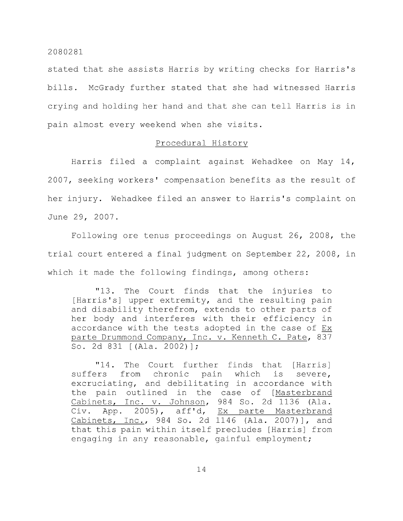stated that she assists Harris by writing checks for Harris's bills. McGrady further stated that she had witnessed Harris crying and holding her hand and that she can tell Harris is in pain almost every weekend when she visits.

# Procedural History

Harris filed a complaint against Wehadkee on May 14, 2007, seeking workers' compensation benefits as the result of her injury. Wehadkee filed an answer to Harris's complaint on June 29, 2007.

Following ore tenus proceedings on August 26, 2008, the trial court entered a final judgment on September 22, 2008, in which it made the following findings, among others:

"13. The Court finds that the injuries to [Harris's] upper extremity, and the resulting pain and disability therefrom, extends to other parts of her body and interferes with their efficiency in accordance with the tests adopted in the case of Ex parte Drummond Company, Inc. v. Kenneth C. Pate, 837 So. 2d 831 [(Ala. 2002)] ;

"14. The Court further finds that [Harris] suffers from chronic pain which is severe, excruciating, and debilitating in accordance with the pain outlined in the case of [Masterbrand Cabinets, Inc. v. Johnson, 984 So. 2d 1136 (Ala. Civ. App. 2005), aff'd. Ex parte Masterbrand Cabinets, Inc., 984 So. 2d 1146 (Ala. 2007)], and that this pain within itself precludes [Harris] from engaging in any reasonable, gainful employment;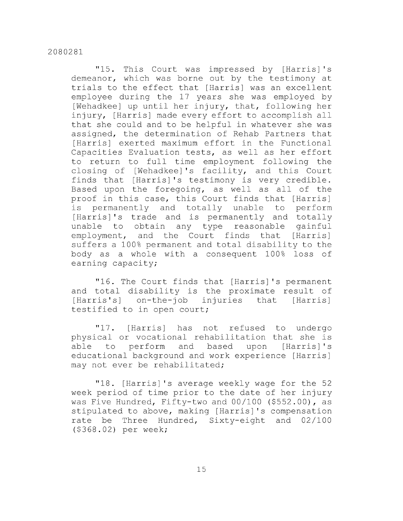"15. This Court was impressed by [Harris] 's demeanor, which was borne out by the testimony at trials to the effect that [Harris] was an excellent employee during the 17 years she was employed by [Wehadkee] up until her injury, that, following her injury, [Harris] made every effort to accomplish all that she could and to be helpful in whatever she was assigned, the determination of Rehab Partners that [Harris] exerted maximum effort in the Functional Capacities Evaluation tests, as well as her effort to return to full time employment following the closing of [Wehadkee] 's facility, and this Court finds that [Harris] 's testimony is very credible. Based upon the foregoing, as well as all of the proof in this case, this Court finds that [Harris] is permanently and totally unable to perform [Harris]'s trade and is permanently and totally unable to obtain any type reasonable gainful employment, and the Court finds that [Harris] suffers a 100% permanent and total disability to the body as a whole with a consequent 100% loss of earning capacity;

"16. The Court finds that [Harris]'s permanent and total disability is the proximate result of [Harris's] on-the-job injuries that [Harris] testified to in open court;

"17. [Harris] has not refused to undergo physical or vocational rehabilitation that she is able to perform and based upon [Harris] 's educational background and work experience [Harris] may not ever be rehabilitated;

"18. [Harris]'s average weekly wage for the 52 week period of time prior to the date of her injury was Five Hundred, Fifty-two and 00/100 (\$552.00), as stipulated to above, making [Harris]'s compensation rate be Three Hundred, Sixty-eight and 02/100 (\$368.02) per week;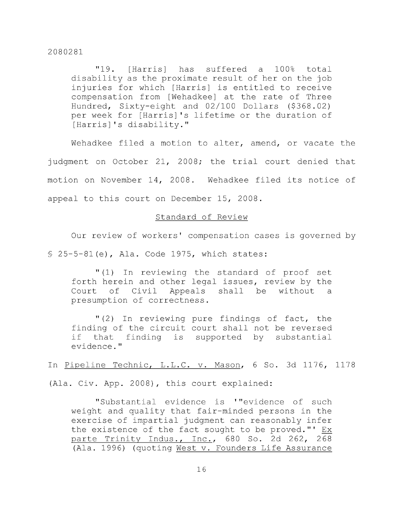"19. [Harris] has suffered a 100% total disability as the proximate result of her on the job injuries for which [Harris] is entitled to receive compensation from [Wehadkee] at the rate of Three Hundred, Sixty-eight and 02/100 Dollars (\$368.02) per week for [Harris]'s lifetime or the duration of [Harris]'s disability."

Wehadkee filed a motion to alter, amend, or vacate the judgment on October 21, 2008; the trial court denied that motion on November 14, 2008. Wehadkee filed its notice of appeal to this court on December 15, 2008.

# Standard of Review

Our review of workers' compensation cases is governed by § 25-5-81 (e), Ala. Code 1975, which states:

"(1) In reviewing the standard of proof set forth herein and other legal issues, review by the Court of Civil Appeals shall be without a presumption of correctness.

"(2) In reviewing pure findings of fact, the finding of the circuit court shall not be reversed if that finding is supported by substantial evidence."

In Pipeline Technic, L.L.C. v. Mason, 6 So. 3d 1176, 1178

(Ala. Civ. App. 2008), this court explained:

"Substantial evidence is '"evidence of such weight and quality that fair-minded persons in the exercise of impartial judgment can reasonably infer the existence of the fact sought to be proved."' Ex parte Trinity Indus., Inc., 680 So. 2d 262, 268 (Ala. 1996) (quoting West v. Founders Life Assurance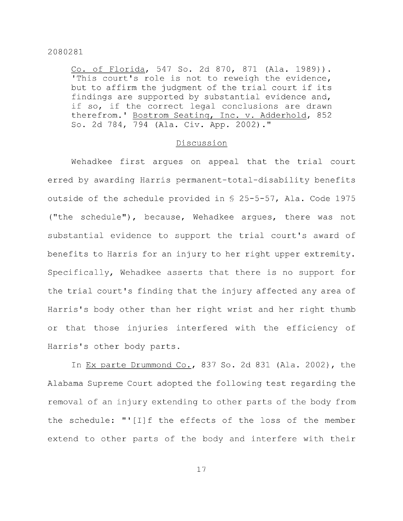Co. of Florida, 547 So. 2d 870, 871 (Ala. 1989)). 'This court's role is not to reweigh the evidence, but to affirm the judgment of the trial court if its findings are supported by substantial evidence and, if so, if the correct legal conclusions are drawn therefrom.' Bostrom Seating, Inc. v. Adderhold, 852 So. 2d 784, 794 (Ala. Civ. App. 2002)."

#### Discussion

Wehadkee first argues on appeal that the trial court erred by awarding Harris permanent-total-disability benefits outside of the schedule provided in § 25-5-57, Ala. Code 1975 ("the schedule"), because, Wehadkee argues, there was not substantial evidence to support the trial court's award of benefits to Harris for an injury to her right upper extremity. Specifically, Wehadkee asserts that there is no support for the trial court's finding that the injury affected any area of Harris's body other than her right wrist and her right thumb or that those injuries interfered with the efficiency of Harris's other body parts.

In Ex parte Drummond Co., 837 So. 2d 831 (Ala. 2002), the Alabama Supreme Court adopted the following test regarding the removal of an injury extending to other parts of the body from the schedule: "'[I]f the effects of the loss of the member extend to other parts of the body and interfere with their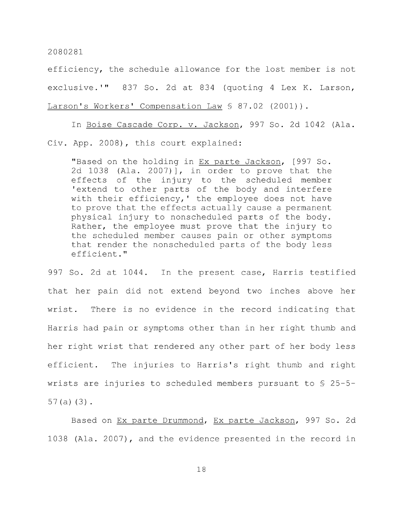efficiency, the schedule allowance for the lost member is not exclusive.'" 837 So. 2d at 834 (quoting 4 Lex K. Larson, Larson's Workers' Compensation Law § 87.02 (2001)).

In Boise Cascade Corp. v. Jackson, 997 So. 2d 1042 (Ala. Civ. App. 2008), this court explained:

"Based on the holding in Ex parte Jackson, [997 So. 2d 1038 (Ala. 2007)], in order to prove that the effects of the injury to the scheduled member 'extend to other parts of the body and interfere with their efficiency,' the employee does not have to prove that the effects actually cause a permanent physical injury to nonscheduled parts of the body. Rather, the employee must prove that the injury to the scheduled member causes pain or other symptoms that render the nonscheduled parts of the body less efficient."

997 So. 2d at 1044. In the present case, Harris testified that her pain did not extend beyond two inches above her wrist. There is no evidence in the record indicating that Harris had pain or symptoms other than in her right thumb and her right wrist that rendered any other part of her body less efficient. The injuries to Harris's right thumb and right wrists are injuries to scheduled members pursuant to § 25-5- 57(a) (3) .

Based on Ex parte Drummond, Ex parte Jackson, 997 So. 2d 1038 (Ala. 2007), and the evidence presented in the record in

II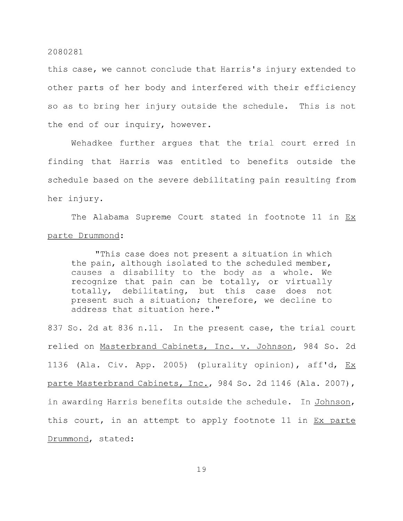this case, we cannot conclude that Harris's injury extended to other parts of her body and interfered with their efficiency so as to bring her injury outside the schedule. This is not the end of our inquiry, however.

Wehadkee further argues that the trial court erred in finding that Harris was entitled to benefits outside the schedule based on the severe debilitating pain resulting from her injury.

The Alabama Supreme Court stated in footnote 11 in Ex parte Drummond:

"This case does not present a situation in which the pain, although isolated to the scheduled member, causes a disability to the body as a whole. We recognize that pain can be totally, or virtually totally, debilitating, but this case does not present such a situation; therefore, we decline to address that situation here."

837 So. 2d at 836 n.ll. In the present case, the trial court relied on Masterbrand Cabinets, Inc. v. Johnson, 984 So. 2d 1136 (Ala. Civ. App. 2005) (plurality opinion), aff'd,  $Ex$ parte Masterbrand Cabinets, Inc., 984 So. 2d 1146 (Ala. 2007), in awarding Harris benefits outside the schedule. In Johnson, this court, in an attempt to apply footnote 11 in Ex parte Drummond, stated:

l: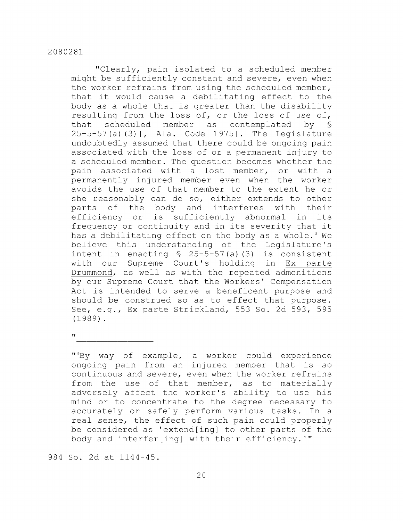"Clearly, pain isolated to a scheduled member might be sufficiently constant and severe, even when the worker refrains from using the scheduled member, that it would cause a debilitating effect to the body as a whole that is greater than the disability resulting from the loss of, or the loss of use of, that scheduled member as contemplated by § 25-5-57 (a) (3) [, Ala. Code 1975]. The Legislature undoubtedly assumed that there could be ongoing pain associated with the loss of or a permanent injury to a scheduled member. The question becomes whether the pain associated with a lost member, or with a permanently injured member even when the worker avoids the use of that member to the extent he or she reasonably can do so, either extends to other parts of the body and interferes with their efficiency or is sufficiently abnormal in its frequency or continuity and in its severity that it has a debilitating effect on the body as a whole.<sup>3</sup> We believe this understanding of the Legislature's intent in enacting  $$ 25-5-57(a) (3)$  is consistent with our Supreme Court's holding in Ex parte Drummond, as well as with the repeated admonitions by our Supreme Court that the Workers' Compensation Act is intended to serve a beneficent purpose and should be construed so as to effect that purpose. See, e.g., Ex parte Strickland, 553 So. 2d 593, 595 (1989).

 $^{"3}$ By way of example, a worker could experience ongoing pain from an injured member that is so continuous and severe, even when the worker refrains from the use of that member, as to materially adversely affect the worker's ability to use his mind or to concentrate to the degree necessary to accurately or safely perform various tasks. In a real sense, the effect of such pain could properly be considered as 'extend[ing] to other parts of the body and interfer[ing] with their efficiency.'"

984 So. 2d at 1144-45.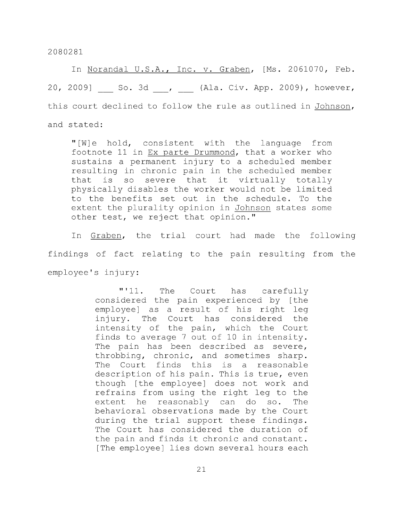In Norandal U.S.A., Inc. v. Graben, [Ms. 2061070, Feb. 20, 2009] So. 3d , (Ala. Civ. App. 2009), however, this court declined to follow the rule as outlined in Johnson, and stated:

"[W]e hold, consistent with the language from footnote 11 in Ex parte Drummond, that a worker who sustains a permanent injury to a scheduled member resulting in chronic pain in the scheduled member that is so severe that it virtually totally physically disables the worker would not be limited to the benefits set out in the schedule. To the extent the plurality opinion in Johnson states some other test, we reject that opinion."

In Graben, the trial court had made the following findings of fact relating to the pain resulting from the employee's injury:

> "'11. The Court has carefully considered the pain experienced by [the employee] as a result of his right leg injury. The Court has considered the intensity of the pain, which the Court finds to average 7 out of 10 in intensity. The pain has been described as severe, throbbing, chronic, and sometimes sharp. The Court finds this is a reasonable description of his pain. This is true, even though [the employee] does not work and refrains from using the right leg to the extent he reasonably can do so. The behavioral observations made by the Court during the trial support these findings. The Court has considered the duration of the pain and finds it chronic and constant. [The employee] lies down several hours each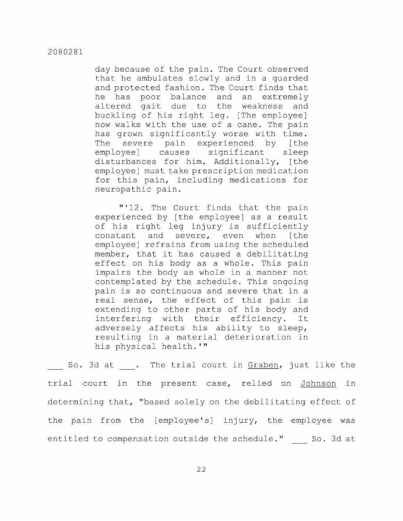day because of the pain. The Court observed that he ambulates slowly and in a guarded and protected fashion. The Court finds that he has poor balance and an extremely altered gait due to the weakness and buckling of his right leg. [The employee] now walks with the use of a cane. The pain has grown significantly worse with time. The severe pain experienced by [the employee] causes significant sleep disturbances for him. Additionally, [the employee] must take prescription medication for this pain, including medications for neuropathic pain.

"'12. The Court finds that the pain experienced by [the employee] as a result of his right leg injury is sufficiently constant and severe, even when [the employee] refrains from using the scheduled member, that it has caused a debilitating effect on his body as a whole. This pain impairs the body as whole in a manner not contemplated by the schedule. This ongoing pain is so continuous and severe that in a real sense, the effect of this pain is extending to other parts of his body and interfering with their efficiency. It adversely affects his ability to sleep, resulting in a material deterioration in his physical health.'"

So. 3d at . The trial court in Graben, just like the trial court in the present case, relied on Johnson in determining that, "based solely on the debilitating effect of the pain from the [employee's] injury, the employee was entitled to compensation outside the schedule."  $\quad \_ \_ \$  So. 3d at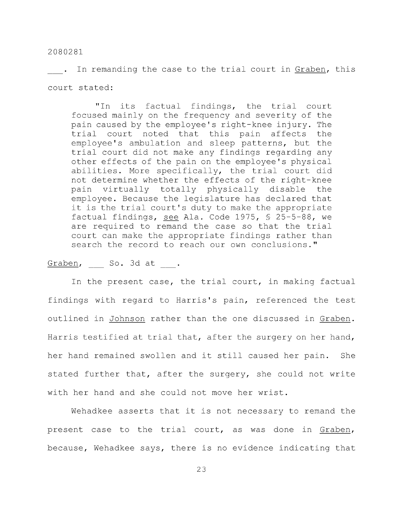. In remanding the case to the trial court in Graben, this court stated:

"In its factual findings, the trial court focused mainly on the frequency and severity of the pain caused by the employee's right-knee injury. The trial court noted that this pain affects the employee's ambulation and sleep patterns, but the trial court did not make any findings regarding any other effects of the pain on the employee's physical abilities. More specifically, the trial court did not determine whether the effects of the right-knee pain virtually totally physically disable the employee. Because the legislature has declared that it is the trial court's duty to make the appropriate factual findings, see Ala. Code 1975, § 25-5-88, we are required to remand the case so that the trial court can make the appropriate findings rather than search the record to reach our own conclusions."

Graben, So. 3d at.

In the present case, the trial court, in making factual findings with regard to Harris's pain, referenced the test outlined in Johnson rather than the one discussed in Graben. Harris testified at trial that, after the surgery on her hand, her hand remained swollen and it still caused her pain. She stated further that, after the surgery, she could not write with her hand and she could not move her wrist.

Wehadkee asserts that it is not necessary to remand the present case to the trial court, as was done in Graben, because, Wehadkee says, there is no evidence indicating that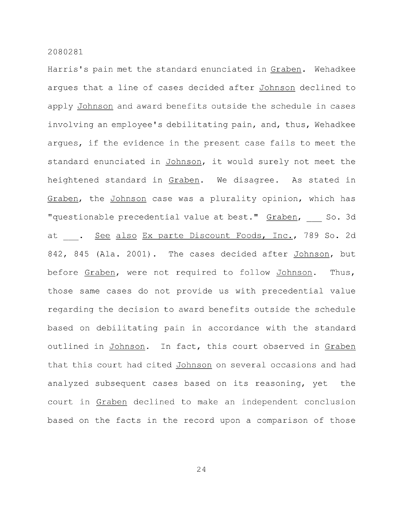Harris's pain met the standard enunciated in Graben. Wehadkee argues that a line of cases decided after Johnson declined to apply Johnson and award benefits outside the schedule in cases involving an employee's debilitating pain, and, thus, Wehadkee argues, if the evidence in the present case fails to meet the standard enunciated in Johnson, it would surely not meet the heightened standard in Graben. We disagree. As stated in Graben, the Johnson case was a plurality opinion, which has "questionable precedential value at best." Graben, So. 3d at . See also Ex parte Discount Foods, Inc., 789 So. 2d 842, 845 (Ala. 2001). The cases decided after Johnson, but before Graben, were not required to follow Johnson. Thus, those same cases do not provide us with precedential value regarding the decision to award benefits outside the schedule based on debilitating pain in accordance with the standard outlined in Johnson. In fact, this court observed in Graben that this court had cited Johnson on several occasions and had analyzed subsequent cases based on its reasoning, yet the court in Graben declined to make an independent conclusion based on the facts in the record upon a comparison of those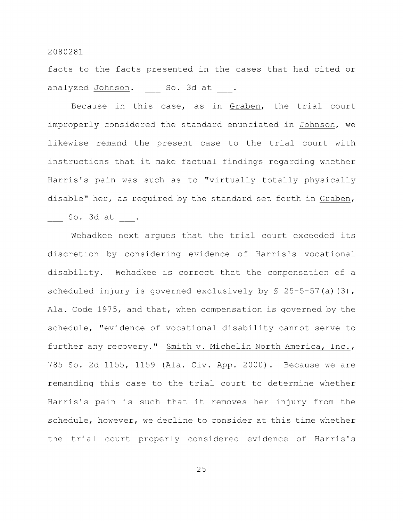facts to the facts presented in the cases that had cited or analyzed Johnson. So. 3d at .

Because in this case, as in Graben, the trial court improperly considered the standard enunciated in Johnson, we likewise remand the present case to the trial court with instructions that it make factual findings regarding whether Harris's pain was such as to "virtually totally physically disable" her, as required by the standard set forth in Graben,

So. 3d at .

Wehadkee next argues that the trial court exceeded its discretion by considering evidence of Harris's vocational disability. Wehadkee is correct that the compensation of a scheduled injury is governed exclusively by  $\S$  25-5-57(a)(3), Ala. Code 1975, and that, when compensation is governed by the schedule, "evidence of vocational disability cannot serve to further any recovery." Smith v. Michelin North America, Inc., 785 So. 2d 1155, 1159 (Ala. Civ. App. 2000) . Because we are remanding this case to the trial court to determine whether Harris's pain is such that it removes her injury from the schedule, however, we decline to consider at this time whether the trial court properly considered evidence of Harris's